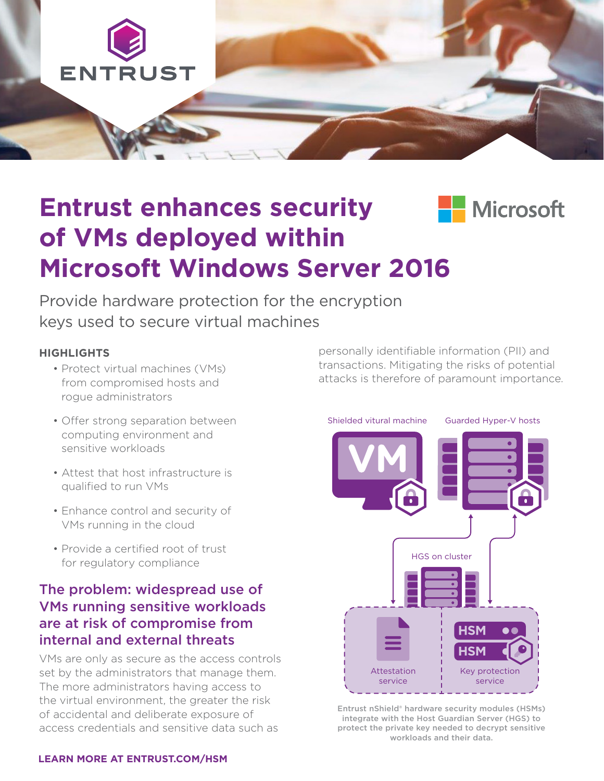

## **Entrust enhances security H** Microsoft **of VMs deployed within Microsoft Windows Server 2016**

Provide hardware protection for the encryption keys used to secure virtual machines

#### **HIGHLIGHTS**

- Protect virtual machines (VMs) from compromised hosts and rogue administrators
- Offer strong separation between computing environment and sensitive workloads
- Attest that host infrastructure is qualified to run VMs
- Enhance control and security of VMs running in the cloud
- Provide a certified root of trust for regulatory compliance

#### The problem: widespread use of VMs running sensitive workloads are at risk of compromise from internal and external threats

VMs are only as secure as the access controls set by the administrators that manage them. The more administrators having access to the virtual environment, the greater the risk of accidental and deliberate exposure of access credentials and sensitive data such as

personally identifiable information (PII) and transactions. Mitigating the risks of potential attacks is therefore of paramount importance.



Entrust nShield® hardware security modules (HSMs) integrate with the Host Guardian Server (HGS) to protect the private key needed to decrypt sensitive workloads and their data.

#### **[LEARN MORE AT ENTRUST.COM/HSM](http://www.entrust.com/hsm)**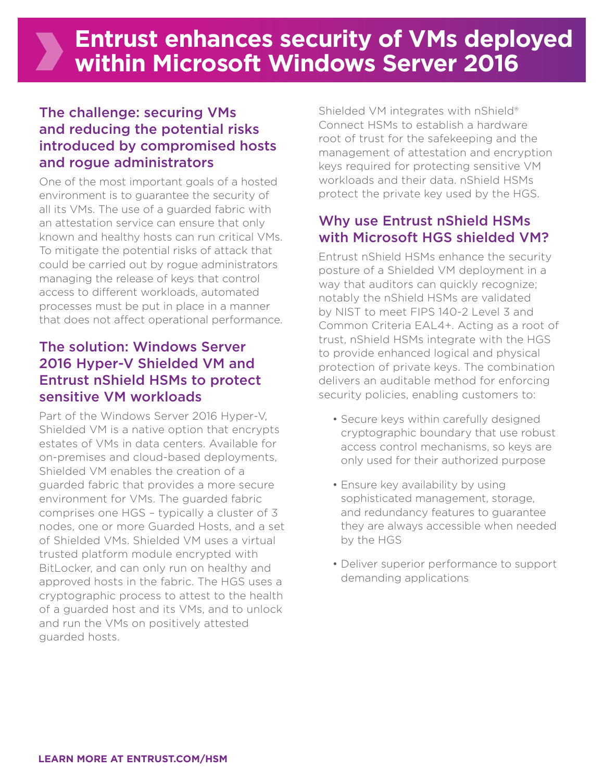## The challenge: securing VMs and reducing the potential risks introduced by compromised hosts and rogue administrators

One of the most important goals of a hosted environment is to guarantee the security of all its VMs. The use of a guarded fabric with an attestation service can ensure that only known and healthy hosts can run critical VMs. To mitigate the potential risks of attack that could be carried out by rogue administrators managing the release of keys that control access to different workloads, automated processes must be put in place in a manner that does not affect operational performance.

## The solution: Windows Server 2016 Hyper-V Shielded VM and Entrust nShield HSMs to protect sensitive VM workloads

Part of the Windows Server 2016 Hyper-V, Shielded VM is a native option that encrypts estates of VMs in data centers. Available for on-premises and cloud-based deployments, Shielded VM enables the creation of a guarded fabric that provides a more secure environment for VMs. The guarded fabric comprises one HGS – typically a cluster of 3 nodes, one or more Guarded Hosts, and a set of Shielded VMs. Shielded VM uses a virtual trusted platform module encrypted with BitLocker, and can only run on healthy and approved hosts in the fabric. The HGS uses a cryptographic process to attest to the health of a guarded host and its VMs, and to unlock and run the VMs on positively attested guarded hosts.

Shielded VM integrates with nShield® Connect HSMs to establish a hardware root of trust for the safekeeping and the management of attestation and encryption keys required for protecting sensitive VM workloads and their data. nShield HSMs protect the private key used by the HGS.

## Why use Entrust nShield HSMs with Microsoft HGS shielded VM?

Entrust nShield HSMs enhance the security posture of a Shielded VM deployment in a way that auditors can quickly recognize; notably the nShield HSMs are validated by NIST to meet FIPS 140-2 Level 3 and Common Criteria EAL4+. Acting as a root of trust, nShield HSMs integrate with the HGS to provide enhanced logical and physical protection of private keys. The combination delivers an auditable method for enforcing security policies, enabling customers to:

- Secure keys within carefully designed cryptographic boundary that use robust access control mechanisms, so keys are only used for their authorized purpose
- Ensure key availability by using sophisticated management, storage, and redundancy features to guarantee they are always accessible when needed by the HGS
- Deliver superior performance to support demanding applications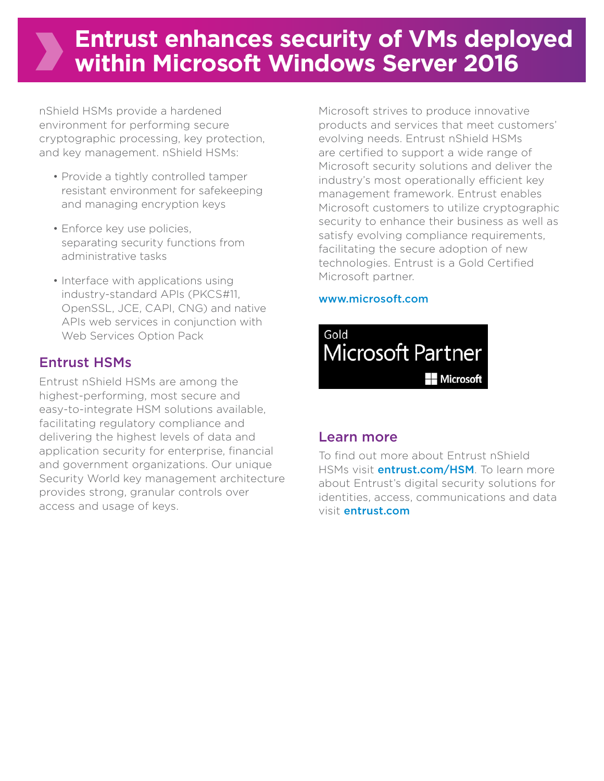# **Entrust enhances security of VMs deployed within Microsoft Windows Server 2016**

nShield HSMs provide a hardened environment for performing secure cryptographic processing, key protection, and key management. nShield HSMs:

- Provide a tightly controlled tamper resistant environment for safekeeping and managing encryption keys
- Enforce key use policies, separating security functions from administrative tasks
- Interface with applications using industry-standard APIs (PKCS#11, OpenSSL, JCE, CAPI, CNG) and native APIs web services in conjunction with Web Services Option Pack

## Entrust HSMs

Entrust nShield HSMs are among the highest-performing, most secure and easy-to-integrate HSM solutions available, facilitating regulatory compliance and delivering the highest levels of data and application security for enterprise, financial and government organizations. Our unique Security World key management architecture provides strong, granular controls over access and usage of keys.

Microsoft strives to produce innovative products and services that meet customers' evolving needs. Entrust nShield HSMs are certified to support a wide range of Microsoft security solutions and deliver the industry's most operationally efficient key management framework. Entrust enables Microsoft customers to utilize cryptographic security to enhance their business as well as satisfy evolving compliance requirements, facilitating the secure adoption of new technologies. Entrust is a Gold Certified Microsoft partner.

#### [www.microsoft.com](http://www.microsoft.com)



## Learn more

To find out more about Entrust nShield HSMs visit *entrust.com/HSM*. To learn more about Entrust's digital security solutions for identities, access, communications and data visit entrust.com